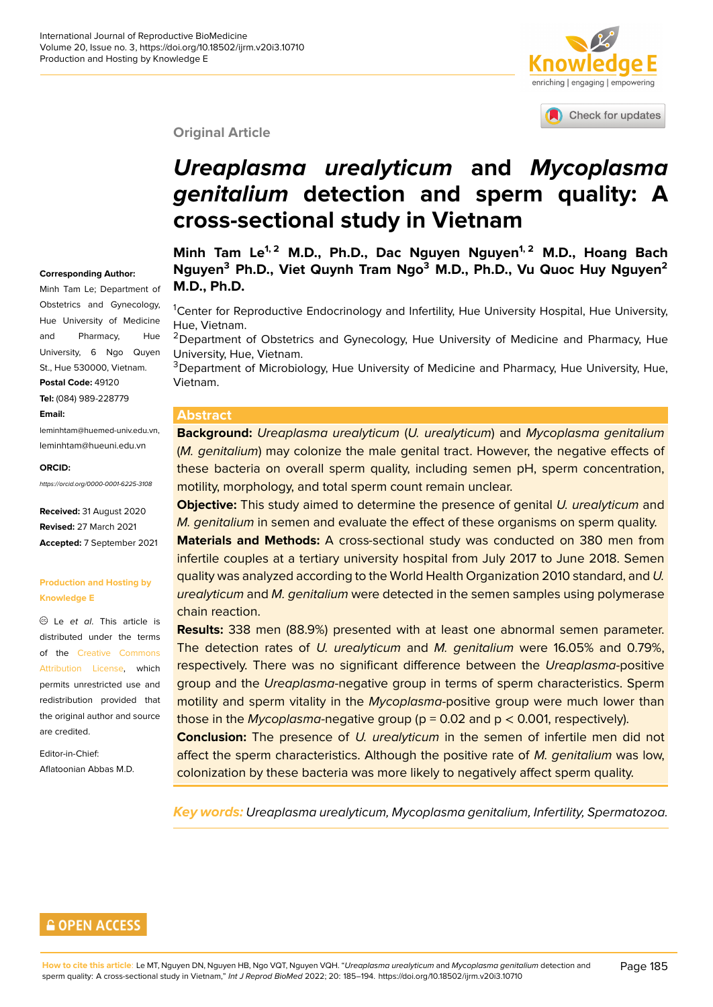

Check for updates

#### **Original Article**

# *Ureaplasma urealyticum* **and** *[Mycoplasma](http://crossmark.crossref.org/dialog/?doi=10.18502/ijrm.v20i3.10710&domain=pdf&date_stamp=2018-01-27) genitalium* **detection and sperm quality: A cross-sectional study in Vietnam**

#### **Corresponding Author:**

Minh Tam Le; Department of Obstetrics and Gynecology, Hue University of Medicine and Pharmacy, Hue University, 6 Ngo Quyen St., Hue 530000, Vietnam. **Postal Code:** 49120

**Tel:** (084) 989-228779

#### **Email:**

leminhtam@huemed-univ.edu.vn, leminhtam@hueuni.edu.vn

#### **ORCID:**

*https://orcid.org/0000-0001-6225-3108*

**Received:** 31 August 2020 **Revised:** 27 March 2021 **Accepted:** 7 September 2021

#### **Production and Hosting by Knowledge E**

Le *et al*. This article is distributed under the terms of the Creative Commons Attribution License, which permits unrestricted use and redistribution provided that the origi[nal author and source](https://creativecommons.org/licenses/by/4.0/) [are credited.](https://creativecommons.org/licenses/by/4.0/)

Editor-in-Chief: Aflatoonian Abbas M.D. **Minh Tam Le1, 2 M.D., Ph.D., Dac Nguyen Nguyen1, 2 M.D., Hoang Bach Nguyen<sup>3</sup> Ph.D., Viet Quynh Tram Ngo<sup>3</sup> M.D., Ph.D., Vu Quoc Huy Nguyen<sup>2</sup> M.D., Ph.D.**

<sup>1</sup>Center for Reproductive Endocrinology and Infertility, Hue University Hospital, Hue University, Hue, Vietnam.

<sup>2</sup>Department of Obstetrics and Gynecology, Hue University of Medicine and Pharmacy, Hue University, Hue, Vietnam.

<sup>3</sup>Department of Microbiology, Hue University of Medicine and Pharmacy, Hue University, Hue, Vietnam.

#### **Abstract**

**Background:** *Ureaplasma urealyticum* (*U. urealyticum*) and *Mycoplasma genitalium* (*M. genitalium*) may colonize the male genital tract. However, the negative effects of these bacteria on overall sperm quality, including semen pH, sperm concentration, motility, morphology, and total sperm count remain unclear.

**Objective:** This study aimed to determine the presence of genital *U. urealyticum* and *M. genitalium* in semen and evaluate the effect of these organisms on sperm quality.

**Materials and Methods:** A cross-sectional study was conducted on 380 men from infertile couples at a tertiary university hospital from July 2017 to June 2018. Semen quality was analyzed according to the World Health Organization 2010 standard, and *U. urealyticum* and *M. genitalium* were detected in the semen samples using polymerase chain reaction.

**Results:** 338 men (88.9%) presented with at least one abnormal semen parameter. The detection rates of *U. urealyticum* and *M. genitalium* were 16.05% and 0.79%, respectively. There was no significant difference between the *Ureaplasma*-positive group and the *Ureaplasma*-negative group in terms of sperm characteristics. Sperm motility and sperm vitality in the *Mycoplasma-*positive group were much lower than those in the *Mycoplasma*-negative group (p = 0.02 and p < 0.001, respectively).

**Conclusion:** The presence of *U. urealyticum* in the semen of infertile men did not affect the sperm characteristics. Although the positive rate of *M. genitalium* was low, colonization by these bacteria was more likely to negatively affect sperm quality.

*Key words: Ureaplasma urealyticum, Mycoplasma genitalium, Infertility, Spermatozoa.*

### **GOPEN ACCESS**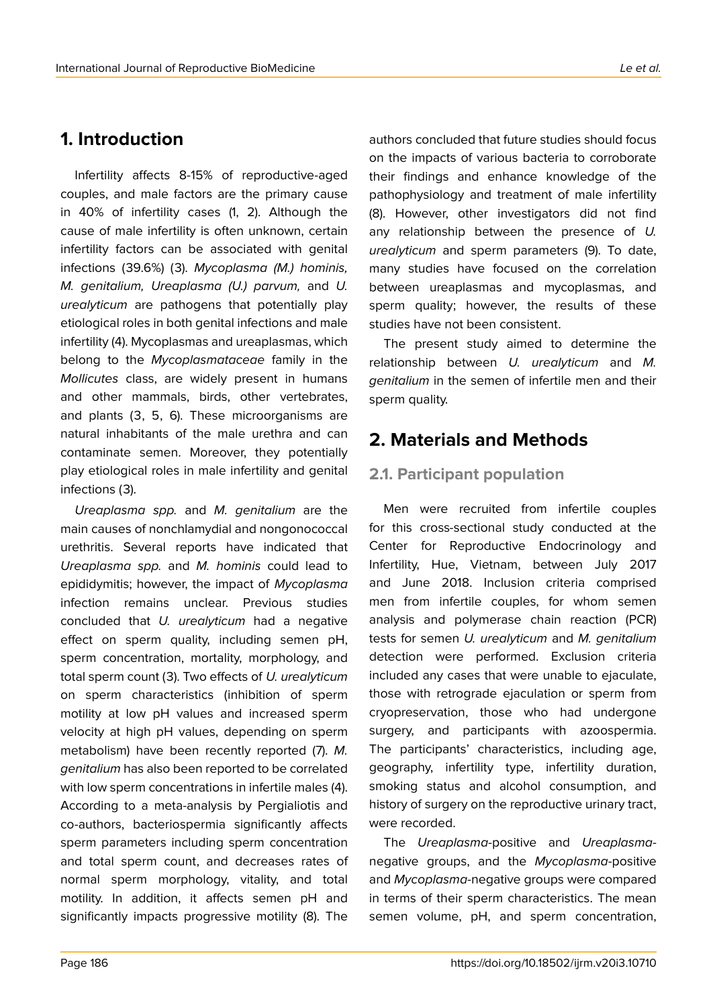# **1. Introduction**

Infertility affects 8-15% of reproductive-aged couples, and male factors are the primary cause in 40% of infertility cases (1, 2). Although the cause of male infertility is often unknown, certain infertility factors can be associated with genital infections (39.6%) (3). *Mycoplasma (M.) hominis, M. genitalium, Ureaplasma (U.) parvum,* and *U. urealyticum* are pathogens that potentially play etiological roles in both genital infections and male infertility (4). Mycoplasmas and ureaplasmas, which belong to the *Mycoplasmataceae* family in the *Mollicutes* class, are widely present in humans and other mammals, birds, other vertebrates, and plants (3, 5, 6). These microorganisms are natural inhabitants of the male urethra and can contaminate semen. Moreover, they potentially play etiological roles in male infertility and genital infections (3).

*Ureaplasma spp.* and *M. genitalium* are the main causes of nonchlamydial and nongonococcal urethritis. Several reports have indicated that *Ureaplasma spp.* and *M. hominis* could lead to epididymitis; however, the impact of *Mycoplasma* infection remains unclear. Previous studies concluded that *U. urealyticum* had a negative effect on sperm quality, including semen pH, sperm concentration, mortality, morphology, and total sperm count (3). Two effects of *U. urealyticum* on sperm characteristics (inhibition of sperm motility at low pH values and increased sperm velocity at high pH values, depending on sperm metabolism) have been recently reported (7). *M. genitalium* has also been reported to be correlated with low sperm concentrations in infertile males (4). According to a meta-analysis by Pergialiotis and co-authors, bacteriospermia significantly affects sperm parameters including sperm concentration and total sperm count, and decreases rates of normal sperm morphology, vitality, and total motility. In addition, it affects semen pH and significantly impacts progressive motility (8). The

authors concluded that future studies should focus on the impacts of various bacteria to corroborate their findings and enhance knowledge of the pathophysiology and treatment of male infertility (8). However, other investigators did not find any relationship between the presence of *U. urealyticum* and sperm parameters (9). To date, many studies have focused on the correlation between ureaplasmas and mycoplasmas, and sperm quality; however, the results of these studies have not been consistent.

The present study aimed to determine the relationship between *U. urealyticum* and *M. genitalium* in the semen of infertile men and their sperm quality.

# **2. Materials and Methods**

### **2.1. Participant population**

Men were recruited from infertile couples for this cross-sectional study conducted at the Center for Reproductive Endocrinology and Infertility, Hue, Vietnam, between July 2017 and June 2018. Inclusion criteria comprised men from infertile couples, for whom semen analysis and polymerase chain reaction (PCR) tests for semen *U. urealyticum* and *M. genitalium* detection were performed. Exclusion criteria included any cases that were unable to ejaculate, those with retrograde ejaculation or sperm from cryopreservation, those who had undergone surgery, and participants with azoospermia. The participants' characteristics, including age, geography, infertility type, infertility duration, smoking status and alcohol consumption, and history of surgery on the reproductive urinary tract, were recorded.

The *Ureaplasma*-positive and *Ureaplasma*negative groups, and the *Mycoplasma*-positive and *Mycoplasma*-negative groups were compared in terms of their sperm characteristics. The mean semen volume, pH, and sperm concentration,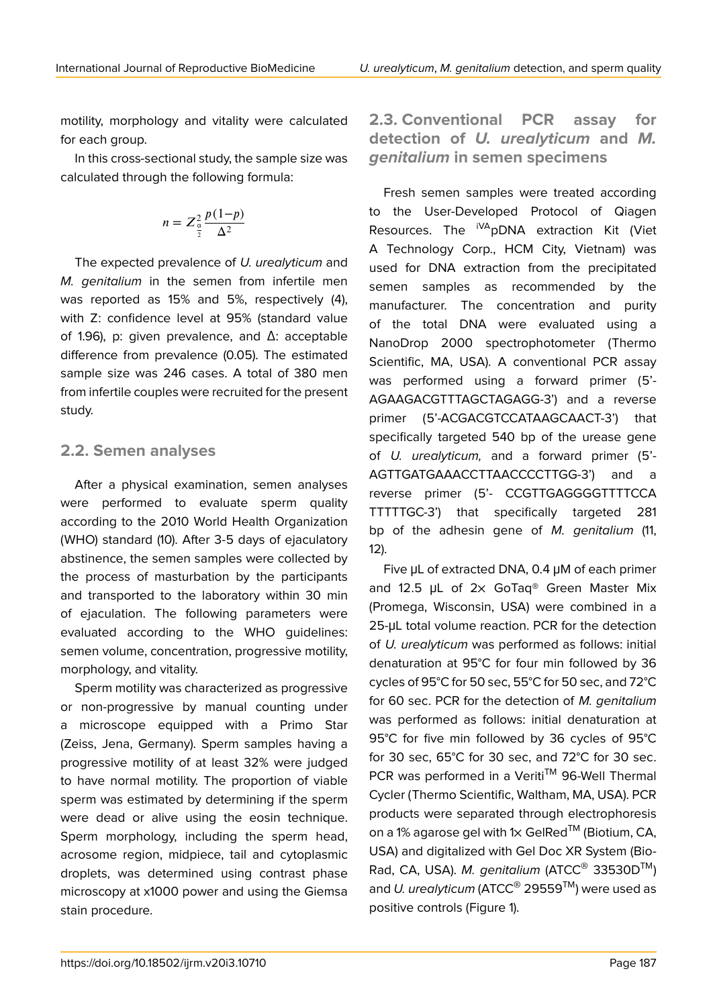motility, morphology and vitality were calculated for each group.

In this cross-sectional study, the sample size was calculated through the following formula:

$$
n = Z_{\frac{\alpha}{2}}^2 \frac{p(1-p)}{\Delta^2}
$$

The expected prevalence of *U. urealyticum* and *M. genitalium* in the semen from infertile men was reported as 15% and 5%, respectively (4), with Z: confidence level at 95% (standard value of 1.96), p: given prevalence, and Δ: acceptable difference from prevalence (0.05). The estimated sample size was 246 cases. A total of 380 men from infertile couples were recruited for the present study.

### **2.2. Semen analyses**

After a physical examination, semen analyses were performed to evaluate sperm quality according to the 2010 World Health Organization (WHO) standard (10). After 3-5 days of ejaculatory abstinence, the semen samples were collected by the process of masturbation by the participants and transported to the laboratory within 30 min of ejaculation. The following parameters were evaluated according to the WHO guidelines: semen volume, concentration, progressive motility, morphology, and vitality.

Sperm motility was characterized as progressive or non-progressive by manual counting under a microscope equipped with a Primo Star (Zeiss, Jena, Germany). Sperm samples having a progressive motility of at least 32% were judged to have normal motility. The proportion of viable sperm was estimated by determining if the sperm were dead or alive using the eosin technique. Sperm morphology, including the sperm head, acrosome region, midpiece, tail and cytoplasmic droplets, was determined using contrast phase microscopy at x1000 power and using the Giemsa stain procedure.

**2.3. Conventional PCR assay for detection of** *U. urealyticum* **and** *M. genitalium* **in semen specimens**

Fresh semen samples were treated according to the User-Developed Protocol of Qiagen Resources. The <sup>iVA</sup>pDNA extraction Kit (Viet A Technology Corp., HCM City, Vietnam) was used for DNA extraction from the precipitated semen samples as recommended by the manufacturer. The concentration and purity of the total DNA were evaluated using a NanoDrop 2000 spectrophotometer (Thermo Scientific, MA, USA). A conventional PCR assay was performed using a forward primer (5'- AGAAGACGTTTAGCTAGAGG-3') and a reverse primer (5'-ACGACGTCCATAAGCAACT-3') that specifically targeted 540 bp of the urease gene of *U. urealyticum,* and a forward primer (5'- AGTTGATGAAACCTTAACCCCTTGG-3') and a reverse primer (5'- CCGTTGAGGGGTTTTCCA TTTTTGC-3') that specifically targeted 281 bp of the adhesin gene of *M. genitalium* (11, 12).

Five μL of extracted DNA, 0.4 μM of each primer and 12.5 μL of 2× GoTaq® Green Master Mix (Promega, Wisconsin, USA) were combined in a 25-μL total volume reaction. PCR for the detection of *U. urealyticum* was performed as follows: initial denaturation at 95°C for four min followed by 36 cycles of 95°C for 50 sec, 55°C for 50 sec, and 72°C for 60 sec. PCR for the detection of *M. genitalium* was performed as follows: initial denaturation at 95°C for five min followed by 36 cycles of 95°C for 30 sec, 65°C for 30 sec, and 72°C for 30 sec. PCR was performed in a Veriti™ 96-Well Thermal Cycler (Thermo Scientific, Waltham, MA, USA). PCR products were separated through electrophoresis on a 1% agarose gel with  $1 \times$  GelRed<sup>TM</sup> (Biotium, CA, USA) and digitalized with Gel Doc XR System (Bio-Rad, CA, USA). *M. genitalium* (ATCC® 33530DTM) and *U. urealyticum* (ATCC® 29559TM) were used as positive controls (Figure 1).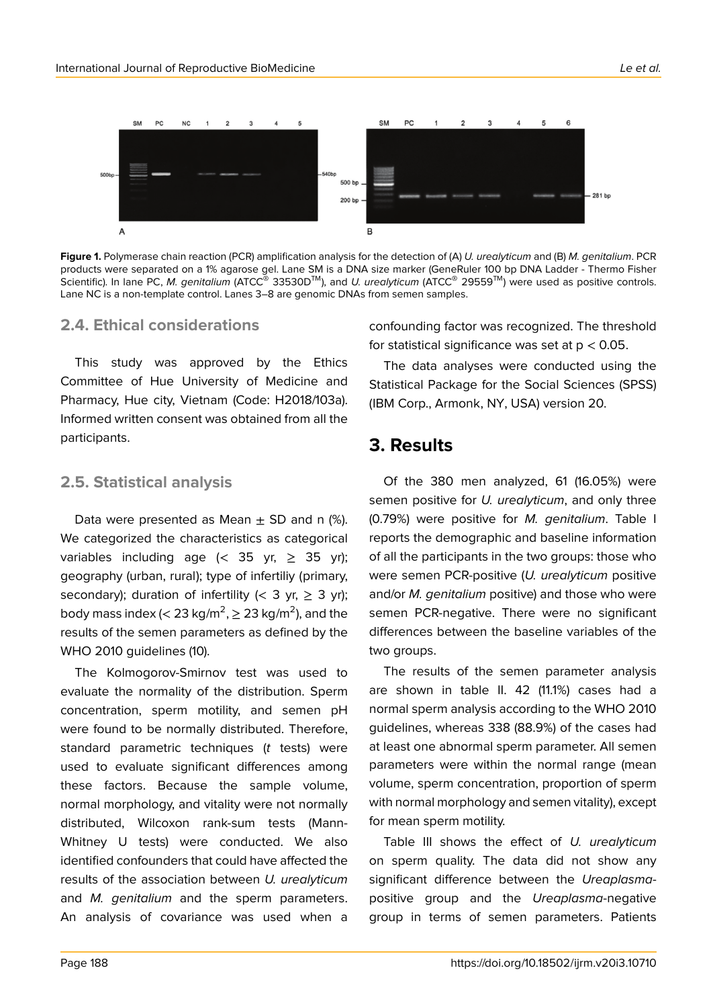

**Figure 1.** Polymerase chain reaction (PCR) amplification analysis for the detection of (A) *U. urealyticum* and (B) *M. genitalium*. PCR products were separated on a 1% agarose gel. Lane SM is a DNA size marker (GeneRuler 100 bp DNA Ladder - Thermo Fisher Scientific). In lane PC, *M. genitalium* (ATCC® 33530DTM), and *U. urealyticum* (ATCC® 29559TM) were used as positive controls. Lane NC is a non-template control. Lanes 3–8 are genomic DNAs from semen samples.

### **2.4. Ethical considerations**

This study was approved by the Ethics Committee of Hue University of Medicine and Pharmacy, Hue city, Vietnam (Code: H2018/103a). Informed written consent was obtained from all the participants.

### **2.5. Statistical analysis**

Data were presented as Mean  $\pm$  SD and n (%). We categorized the characteristics as categorical variables including age (< 35 yr,  $\geq$  35 yr); geography (urban, rural); type of infertiliy (primary, secondary); duration of infertility (< 3 yr,  $\geq$  3 yr); body mass index (< 23 kg/m<sup>2</sup>,  $\geq$  23 kg/m<sup>2</sup>), and the results of the semen parameters as defined by the WHO 2010 guidelines (10).

The Kolmogorov-Smirnov test was used to evaluate the normality of the distribution. Sperm concentration, sperm motility, and semen pH were found to be normally distributed. Therefore, standard parametric techniques (*t* tests) were used to evaluate significant differences among these factors. Because the sample volume, normal morphology, and vitality were not normally distributed, Wilcoxon rank-sum tests (Mann-Whitney U tests) were conducted. We also identified confounders that could have affected the results of the association between *U. urealyticum* and *M. genitalium* and the sperm parameters. An analysis of covariance was used when a

confounding factor was recognized. The threshold for statistical significance was set at  $p < 0.05$ .

The data analyses were conducted using the Statistical Package for the Social Sciences (SPSS) (IBM Corp., Armonk, NY, USA) version 20.

# **3. Results**

Of the 380 men analyzed, 61 (16.05%) were semen positive for *U. urealyticum*, and only three (0.79%) were positive for *M. genitalium*. Table I reports the demographic and baseline information of all the participants in the two groups: those who were semen PCR-positive (*U. urealyticum* positive and/or *M. genitalium* positive) and those who were semen PCR-negative. There were no significant differences between the baseline variables of the two groups.

The results of the semen parameter analysis are shown in table II. 42 (11.1%) cases had a normal sperm analysis according to the WHO 2010 guidelines, whereas 338 (88.9%) of the cases had at least one abnormal sperm parameter. All semen parameters were within the normal range (mean volume, sperm concentration, proportion of sperm with normal morphology and semen vitality), except for mean sperm motility.

Table III shows the effect of *U. urealyticum* on sperm quality. The data did not show any significant difference between the *Ureaplasma*positive group and the *Ureaplasma*-negative group in terms of semen parameters. Patients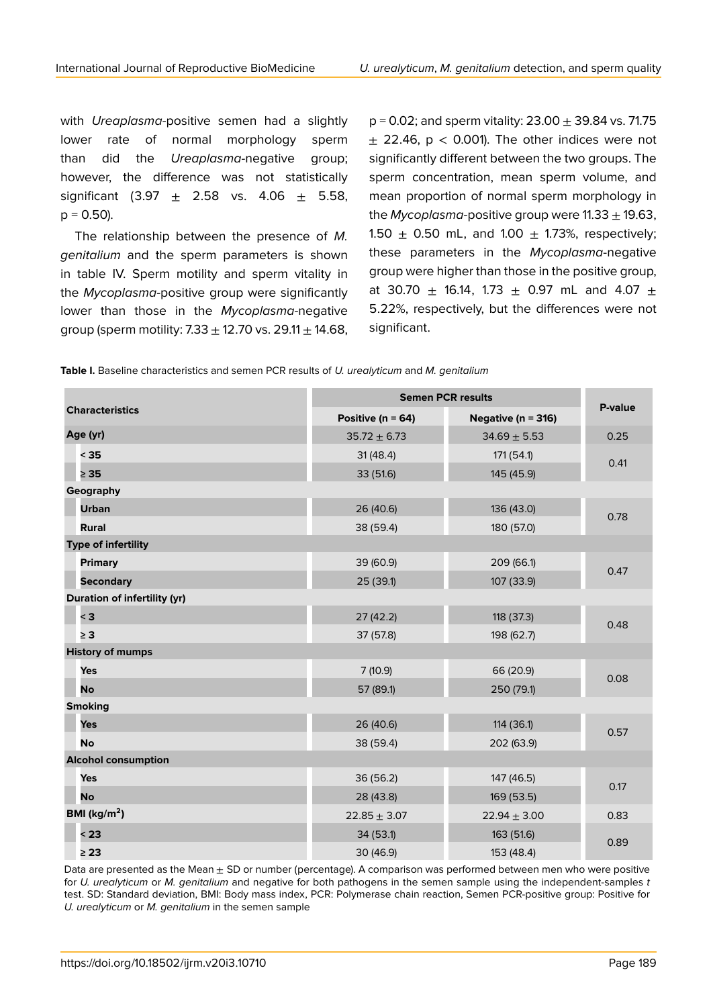with *Ureaplasma-*positive semen had a slightly lower rate of normal morphology sperm than did the *Ureaplasma-*negative group; however, the difference was not statistically significant (3.97  $\pm$  2.58 vs. 4.06  $\pm$  5.58,  $p = 0.50$ ).

The relationship between the presence of *M. genitalium* and the sperm parameters is shown in table IV. Sperm motility and sperm vitality in the *Mycoplasma*-positive group were significantly lower than those in the *Mycoplasma*-negative group (sperm motility: 7.33  $\pm$  12.70 vs. 29.11  $\pm$  14.68,  $p = 0.02$ ; and sperm vitality: 23.00  $\pm$  39.84 vs. 71.75  $\pm$  22.46, p < 0.001). The other indices were not significantly different between the two groups. The sperm concentration, mean sperm volume, and mean proportion of normal sperm morphology in the *Mycoplasma*-positive group were  $11.33 \pm 19.63$ , 1.50  $\pm$  0.50 mL, and 1.00  $\pm$  1.73%, respectively; these parameters in the *Mycoplasma*-negative group were higher than those in the positive group, at 30.70  $\pm$  16.14, 1.73  $\pm$  0.97 mL and 4.07  $\pm$ 5.22%, respectively, but the differences were not significant.

| <b>Table I.</b> Baseline characteristics and semen PCR results of <i>U. urealyticum</i> and <i>M. genitalium</i> |  |  |
|------------------------------------------------------------------------------------------------------------------|--|--|
|------------------------------------------------------------------------------------------------------------------|--|--|

| <b>Characteristics</b>              | <b>Semen PCR results</b> |                        |         |  |
|-------------------------------------|--------------------------|------------------------|---------|--|
|                                     | Positive ( $n = 64$ )    | Negative ( $n = 316$ ) | P-value |  |
| Age (yr)                            | $35.72 \pm 6.73$         | $34.69 \pm 5.53$       | 0.25    |  |
| $35$                                | 31(48.4)                 | 171 (54.1)             | 0.41    |  |
| $\geq 35$                           | 33 (51.6)                | 145 (45.9)             |         |  |
| Geography                           |                          |                        |         |  |
| <b>Urban</b>                        | 26 (40.6)                | 136 (43.0)             | 0.78    |  |
| <b>Rural</b>                        | 38 (59.4)                | 180 (57.0)             |         |  |
| Type of infertility                 |                          |                        |         |  |
| <b>Primary</b>                      | 39 (60.9)                | 209 (66.1)             | 0.47    |  |
| <b>Secondary</b>                    | 25 (39.1)                | 107 (33.9)             |         |  |
| <b>Duration of infertility (yr)</b> |                          |                        |         |  |
| $<$ 3                               | 27(42.2)                 | 118 (37.3)             | 0.48    |  |
| $\geq 3$                            | 37 (57.8)                | 198 (62.7)             |         |  |
| <b>History of mumps</b>             |                          |                        |         |  |
| Yes                                 | 7(10.9)                  | 66 (20.9)              | 0.08    |  |
| <b>No</b>                           | 57 (89.1)                | 250 (79.1)             |         |  |
| <b>Smoking</b>                      |                          |                        |         |  |
| Yes                                 | 26 (40.6)                | 114(36.1)              | 0.57    |  |
| <b>No</b>                           | 38 (59.4)                | 202 (63.9)             |         |  |
| <b>Alcohol consumption</b>          |                          |                        |         |  |
| Yes                                 | 36 (56.2)                | 147 (46.5)             | 0.17    |  |
| <b>No</b>                           | 28 (43.8)                | 169 (53.5)             |         |  |
| BMI ( $\text{kg/m}^2$ )             | $22.85 \pm 3.07$         | $22.94 \pm 3.00$       | 0.83    |  |
| < 23                                | 34 (53.1)                | 163 (51.6)             | 0.89    |  |
| $\geq 23$                           | 30 (46.9)                | 153 (48.4)             |         |  |

Data are presented as the Mean  $\pm$  SD or number (percentage). A comparison was performed between men who were positive for *U. urealyticum* or *M. genitalium* and negative for both pathogens in the semen sample using the independent-samples *t* test. SD: Standard deviation, BMI: Body mass index, PCR: Polymerase chain reaction, Semen PCR-positive group: Positive for *U. urealyticum* or *M. genitalium* in the semen sample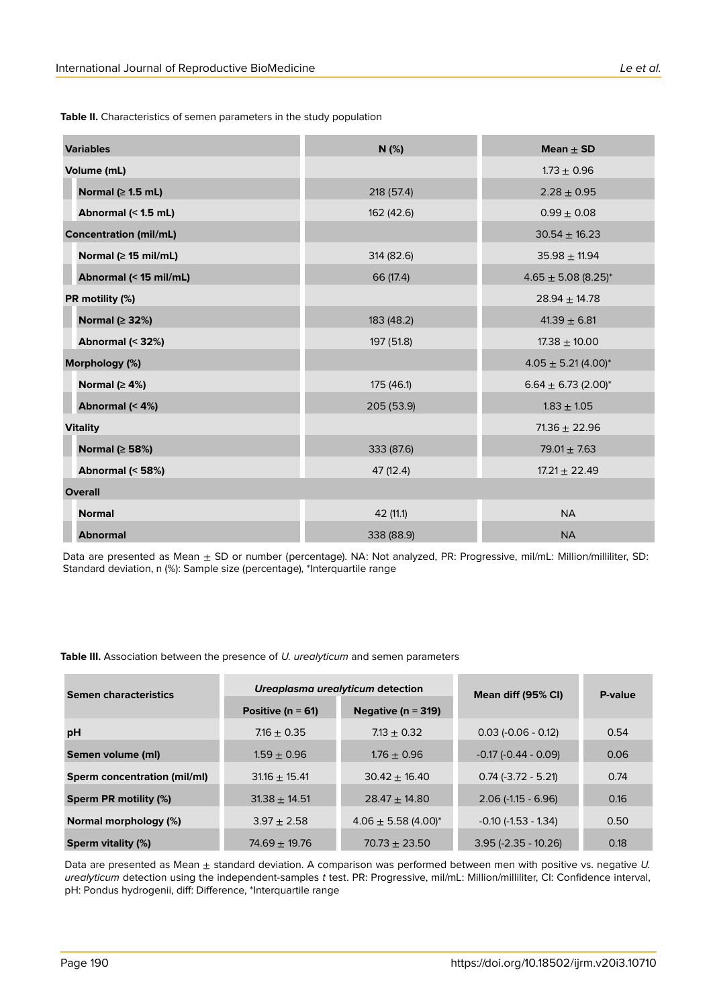**Table II.** Characteristics of semen parameters in the study population

| <b>Variables</b>              | N(%)       | Mean $\pm$ SD                       |  |
|-------------------------------|------------|-------------------------------------|--|
| Volume (mL)                   |            | $1.73 \pm 0.96$                     |  |
| Normal ( $\geq$ 1.5 mL)       | 218 (57.4) | $2.28 \pm 0.95$                     |  |
| Abnormal (< 1.5 mL)           | 162 (42.6) | $0.99 \pm 0.08$                     |  |
| <b>Concentration (mil/mL)</b> |            | $30.54 \pm 16.23$                   |  |
| Normal ( $\geq$ 15 mil/mL)    | 314 (82.6) | $35.98 \pm 11.94$                   |  |
| Abnormal (< 15 mil/mL)        | 66 (17.4)  | $4.65 \pm 5.08$ (8.25)*             |  |
| PR motility (%)               |            | $28.94 \pm 14.78$                   |  |
| Normal ( $\geq$ 32%)          | 183 (48.2) | $41.39 \pm 6.81$                    |  |
| Abnormal (< 32%)              | 197 (51.8) | $17.38 \pm 10.00$                   |  |
| Morphology (%)                |            | $4.05 \pm 5.21 (4.00)^*$            |  |
| Normal ( $\geq 4\%$ )         | 175 (46.1) | $6.64 \pm 6.73$ (2.00) <sup>*</sup> |  |
| Abnormal (< 4%)               | 205 (53.9) | $1.83 \pm 1.05$                     |  |
| <b>Vitality</b>               |            | $71.36 \pm 22.96$                   |  |
| Normal ( $\geq$ 58%)          | 333 (87.6) | $79.01 \pm 7.63$                    |  |
| Abnormal (< 58%)              | 47 (12.4)  | $17.21 \pm 22.49$                   |  |
| <b>Overall</b>                |            |                                     |  |
| <b>Normal</b>                 | 42 (11.1)  | <b>NA</b>                           |  |
| <b>Abnormal</b>               | 338 (88.9) | <b>NA</b>                           |  |

Data are presented as Mean  $\pm$  SD or number (percentage). NA: Not analyzed, PR: Progressive, mil/mL: Million/milliliter, SD: Standard deviation, n (%): Sample size (percentage), \*Interquartile range

**Table III.** Association between the presence of *U. urealyticum* and semen parameters

| <b>Semen characteristics</b> | Ureaplasma urealyticum detection |                                     | Mean diff (95% CI)         | P-value |
|------------------------------|----------------------------------|-------------------------------------|----------------------------|---------|
|                              | Positive ( $n = 61$ )            | Negative ( $n = 319$ )              |                            |         |
| pH                           | $7.16 + 0.35$                    | $7.13 + 0.32$                       | $0.03$ (-0.06 - 0.12)      | 0.54    |
| Semen volume (ml)            | $1.59 + 0.96$                    | $1.76 + 0.96$                       | $-0.17 (-0.44 - 0.09)$     | 0.06    |
| Sperm concentration (mil/ml) | $31.16 + 15.41$                  | $30.42 + 16.40$                     | $0.74$ (-3.72 - 5.21)      | 0.74    |
| Sperm PR motility (%)        | $31.38 + 14.51$                  | $28.47 + 14.80$                     | $2.06$ (-1.15 - 6.96)      | 0.16    |
| Normal morphology (%)        | $3.97 + 2.58$                    | $4.06 \pm 5.58$ (4.00) <sup>*</sup> | $-0.10$ ( $-1.53 - 1.34$ ) | 0.50    |
| <b>Sperm vitality (%)</b>    | $74.69 + 19.76$                  | $70.73 + 23.50$                     | $3.95$ (-2.35 - 10.26)     | 0.18    |

Data are presented as Mean ± standard deviation. A comparison was performed between men with positive vs. negative *U. urealyticum* detection using the independent-samples *t* test. PR: Progressive, mil/mL: Million/milliliter, CI: Confidence interval, pH: Pondus hydrogenii, diff: Difference, \*Interquartile range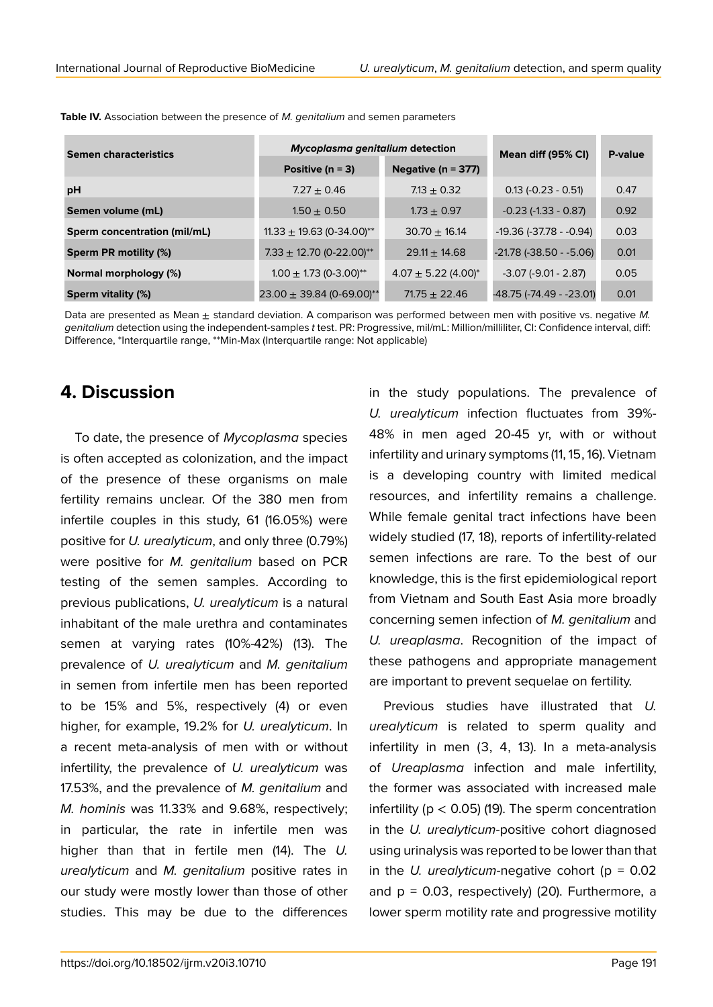| <b>Semen characteristics</b>        | Mycoplasma genitalium detection        |                                     | Mean diff (95% CI)           | P-value |
|-------------------------------------|----------------------------------------|-------------------------------------|------------------------------|---------|
|                                     | Positive ( $n = 3$ )                   | Negative ( $n = 377$ )              |                              |         |
| pH                                  | $7.27 \pm 0.46$                        | $7.13 \pm 0.32$                     | $0.13 (-0.23 - 0.51)$        | 0.47    |
| Semen volume (mL)                   | $1.50 \pm 0.50$                        | $1.73 \pm 0.97$                     | $-0.23$ ( $-1.33 - 0.87$ )   | 0.92    |
| <b>Sperm concentration (mil/mL)</b> | 11.33 $\pm$ 19.63 (0-34.00)**          | $30.70 \pm 16.14$                   | $-19.36$ ( $-37.78 - 0.94$ ) | 0.03    |
| Sperm PR motility (%)               | $7.33 \pm 12.70$ (0-22.00)**           | $29.11 + 14.68$                     | $-21.78$ ( $-38.50 - 5.06$ ) | 0.01    |
| Normal morphology (%)               | $1.00 \pm 1.73$ (0-3.00) <sup>**</sup> | $4.07 \pm 5.22$ (4.00) <sup>*</sup> | $-3.07$ $(-9.01 - 2.87)$     | 0.05    |
| <b>Sperm vitality (%)</b>           | $23.00 \pm 39.84$ (0-69.00)**          | $71.75 \pm 22.46$                   | -48.75 (-74.49 - -23.01)     | 0.01    |

**Table IV.** Association between the presence of *M. genitalium* and semen parameters

Data are presented as Mean ± standard deviation. A comparison was performed between men with positive vs. negative *M. genitalium* detection using the independent-samples *t* test. PR: Progressive, mil/mL: Million/milliliter, CI: Confidence interval, diff: Difference, \*Interquartile range, \*\*Min-Max (Interquartile range: Not applicable)

# **4. Discussion**

To date, the presence of *Mycoplasma* species is often accepted as colonization, and the impact of the presence of these organisms on male fertility remains unclear. Of the 380 men from infertile couples in this study, 61 (16.05%) were positive for *U. urealyticum*, and only three (0.79%) were positive for *M. genitalium* based on PCR testing of the semen samples. According to previous publications, *U. urealyticum* is a natural inhabitant of the male urethra and contaminates semen at varying rates (10%-42%) (13). The prevalence of *U. urealyticum* and *M. genitalium* in semen from infertile men has been reported to be 15% and 5%, respectively (4) or even higher, for example, 19.2% for *U. urealyticum*. In a recent meta-analysis of men with or without infertility, the prevalence of *U. urealyticum* was 17.53%, and the prevalence of *M. genitalium* and *M. hominis* was 11.33% and 9.68%, respectively; in particular, the rate in infertile men was higher than that in fertile men (14). The *U. urealyticum* and *M. genitalium* positive rates in our study were mostly lower than those of other studies. This may be due to the differences

in the study populations. The prevalence of *U. urealyticum* infection fluctuates from 39%- 48% in men aged 20-45 yr, with or without infertility and urinary symptoms (11, 15, 16). Vietnam is a developing country with limited medical resources, and infertility remains a challenge. While female genital tract infections have been widely studied (17, 18), reports of infertility-related semen infections are rare. To the best of our knowledge, this is the first epidemiological report from Vietnam and South East Asia more broadly concerning semen infection of *M. genitalium* and *U. ureaplasma*. Recognition of the impact of these pathogens and appropriate management are important to prevent sequelae on fertility.

Previous studies have illustrated that *U. urealyticum* is related to sperm quality and infertility in men (3, 4, 13). In a meta-analysis of *Ureaplasma* infection and male infertility, the former was associated with increased male infertility ( $p < 0.05$ ) (19). The sperm concentration in the *U. urealyticum*-positive cohort diagnosed using urinalysis was reported to be lower than that in the *U. urealyticum*-negative cohort ( $p = 0.02$ ) and  $p = 0.03$ , respectively) (20). Furthermore, a lower sperm motility rate and progressive motility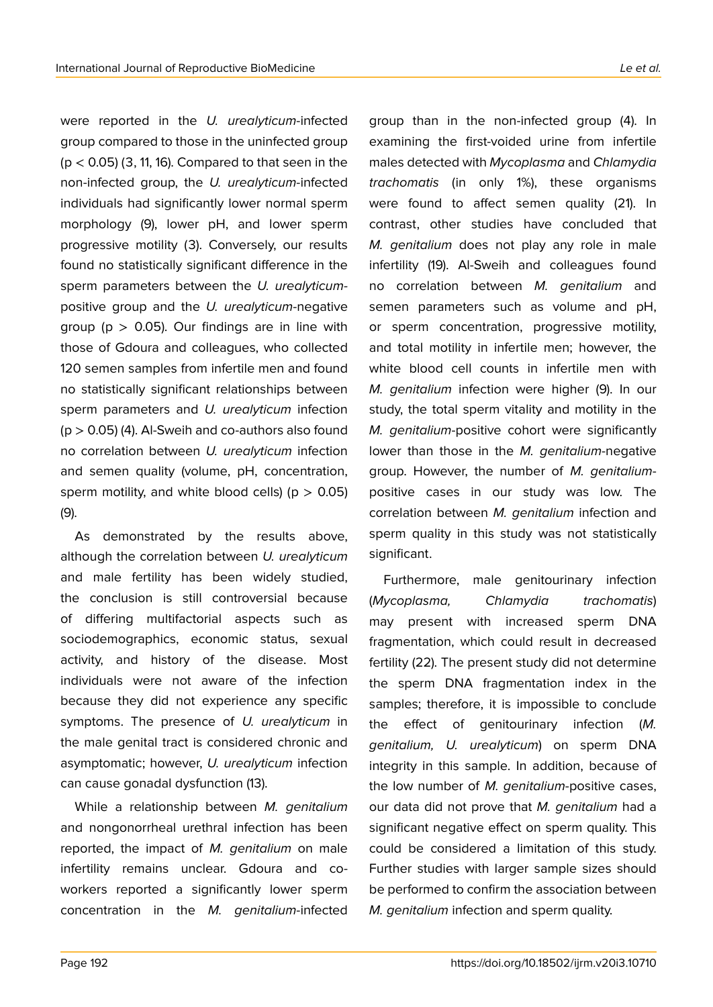were reported in the *U. urealyticum*-infected group compared to those in the uninfected group  $(p < 0.05)$  (3, 11, 16). Compared to that seen in the non-infected group, the *U. urealyticum*-infected individuals had significantly lower normal sperm morphology (9), lower pH, and lower sperm progressive motility (3). Conversely, our results found no statistically significant difference in the sperm parameters between the *U. urealyticum*positive group and the *U. urealyticum-*negative group ( $p > 0.05$ ). Our findings are in line with those of Gdoura and colleagues, who collected 120 semen samples from infertile men and found no statistically significant relationships between sperm parameters and *U. urealyticum* infection  $(p > 0.05)$  (4). Al-Sweih and co-authors also found no correlation between *U. urealyticum* infection and semen quality (volume, pH, concentration, sperm motility, and white blood cells) ( $p > 0.05$ ) (9).

As demonstrated by the results above, although the correlation between *U. urealyticum* and male fertility has been widely studied, the conclusion is still controversial because of differing multifactorial aspects such as sociodemographics, economic status, sexual activity, and history of the disease. Most individuals were not aware of the infection because they did not experience any specific symptoms. The presence of *U. urealyticum* in the male genital tract is considered chronic and asymptomatic; however, *U. urealyticum* infection can cause gonadal dysfunction (13).

While a relationship between *M. genitalium* and nongonorrheal urethral infection has been reported, the impact of *M. genitalium* on male infertility remains unclear. Gdoura and coworkers reported a significantly lower sperm concentration in the *M. genitalium*-infected group than in the non-infected group (4). In examining the first-voided urine from infertile males detected with *Mycoplasma* and *Chlamydia trachomatis* (in only 1%), these organisms were found to affect semen quality (21). In contrast, other studies have concluded that *M. genitalium* does not play any role in male infertility (19). Al-Sweih and colleagues found no correlation between *M. genitalium* and semen parameters such as volume and pH, or sperm concentration, progressive motility, and total motility in infertile men; however, the white blood cell counts in infertile men with *M. genitalium* infection were higher (9). In our study, the total sperm vitality and motility in the *M. genitalium*-positive cohort were significantly lower than those in the *M. genitalium*-negative group. However, the number of *M. genitalium*positive cases in our study was low. The correlation between *M. genitalium* infection and sperm quality in this study was not statistically significant.

Furthermore, male genitourinary infection (*Mycoplasma, Chlamydia trachomatis*) may present with increased sperm DNA fragmentation, which could result in decreased fertility (22). The present study did not determine the sperm DNA fragmentation index in the samples; therefore, it is impossible to conclude the effect of genitourinary infection (*M. genitalium, U. urealyticum*) on sperm DNA integrity in this sample. In addition, because of the low number of *M. genitalium*-positive cases, our data did not prove that *M. genitalium* had a significant negative effect on sperm quality. This could be considered a limitation of this study. Further studies with larger sample sizes should be performed to confirm the association between *M. genitalium* infection and sperm quality.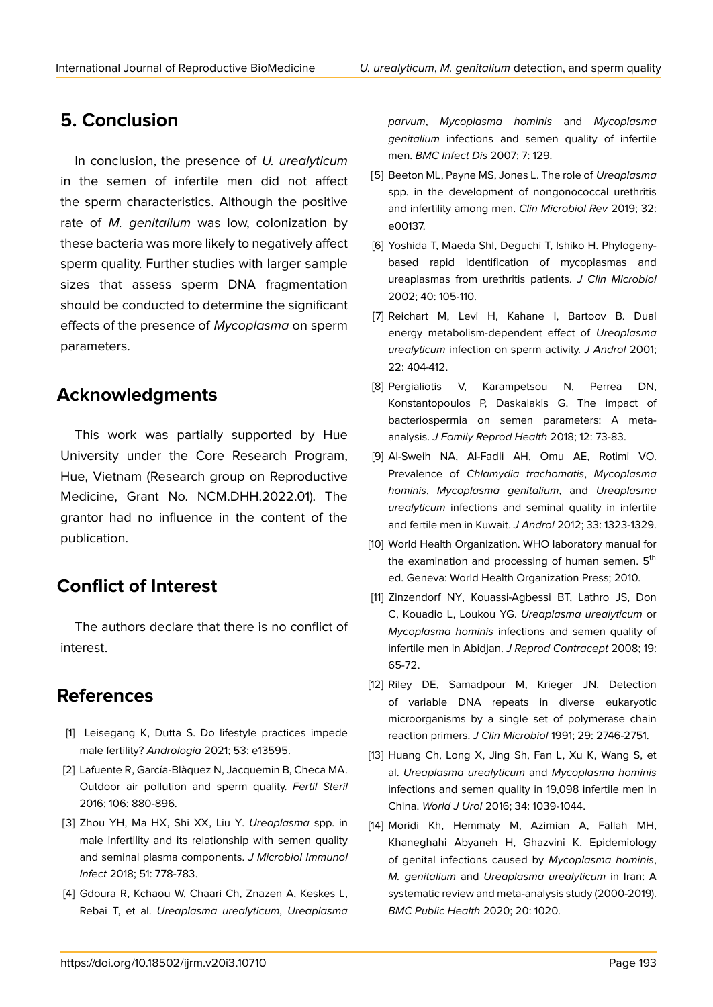# **5. Conclusion**

In conclusion, the presence of *U. urealyticum* in the semen of infertile men did not affect the sperm characteristics. Although the positive rate of *M. genitalium* was low, colonization by these bacteria was more likely to negatively affect sperm quality. Further studies with larger sample sizes that assess sperm DNA fragmentation should be conducted to determine the significant effects of the presence of *Mycoplasma* on sperm parameters.

# **Acknowledgments**

This work was partially supported by Hue University under the Core Research Program, Hue, Vietnam (Research group on Reproductive Medicine, Grant No. NCM.DHH.2022.01). The grantor had no influence in the content of the publication.

# **Conflict of Interest**

The authors declare that there is no conflict of interest.

# **References**

- [1] Leisegang K, Dutta S. Do lifestyle practices impede male fertility? *Andrologia* 2021; 53: e13595.
- [2] Lafuente R, García-Blàquez N, Jacquemin B, Checa MA. Outdoor air pollution and sperm quality. *Fertil Steril* 2016; 106: 880-896.
- [3] Zhou YH, Ma HX, Shi XX, Liu Y. *Ureaplasma* spp. in male infertility and its relationship with semen quality and seminal plasma components. *J Microbiol Immunol Infect* 2018; 51: 778-783.
- [4] Gdoura R, Kchaou W, Chaari Ch, Znazen A, Keskes L, Rebai T, et al. *Ureaplasma urealyticum*, *Ureaplasma*

*parvum*, *Mycoplasma hominis* and *Mycoplasma genitalium* infections and semen quality of infertile men. *BMC Infect Dis* 2007; 7: 129.

- [5] Beeton ML, Payne MS, Jones L. The role of *Ureaplasma* spp. in the development of nongonococcal urethritis and infertility among men. *Clin Microbiol Rev* 2019; 32: e00137.
- [6] Yoshida T, Maeda ShI, Deguchi T, Ishiko H. Phylogenybased rapid identification of mycoplasmas and ureaplasmas from urethritis patients. *J Clin Microbiol* 2002; 40: 105-110.
- [7] Reichart M, Levi H, Kahane I, Bartoov B. Dual energy metabolism-dependent effect of *Ureaplasma urealyticum* infection on sperm activity. *J Androl* 2001; 22: 404-412.
- [8] Pergialiotis V, Karampetsou N, Perrea DN, Konstantopoulos P, Daskalakis G. The impact of bacteriospermia on semen parameters: A metaanalysis. *J Family Reprod Health* 2018; 12: 73-83.
- [9] Al-Sweih NA, Al-Fadli AH, Omu AE, Rotimi VO. Prevalence of *Chlamydia trachomatis*, *Mycoplasma hominis*, *Mycoplasma genitalium*, and *Ureaplasma urealyticum* infections and seminal quality in infertile and fertile men in Kuwait. *J Androl* 2012; 33: 1323-1329.
- [10] World Health Organization. WHO laboratory manual for the examination and processing of human semen. 5<sup>th</sup> ed. Geneva: World Health Organization Press; 2010.
- [11] Zinzendorf NY, Kouassi-Agbessi BT, Lathro JS, Don C, Kouadio L, Loukou YG. *Ureaplasma urealyticum* or *Mycoplasma hominis* infections and semen quality of infertile men in Abidjan. *J Reprod Contracept* 2008; 19: 65-72.
- [12] Riley DE, Samadpour M, Krieger JN. Detection of variable DNA repeats in diverse eukaryotic microorganisms by a single set of polymerase chain reaction primers. *J Clin Microbiol* 1991; 29: 2746-2751.
- [13] Huang Ch, Long X, Jing Sh, Fan L, Xu K, Wang S, et al. *Ureaplasma urealyticum* and *Mycoplasma hominis* infections and semen quality in 19,098 infertile men in China. *World J Urol* 2016; 34: 1039-1044.
- [14] Moridi Kh, Hemmaty M, Azimian A, Fallah MH, Khaneghahi Abyaneh H, Ghazvini K. Epidemiology of genital infections caused by *Mycoplasma hominis*, *M. genitalium* and *Ureaplasma urealyticum* in Iran: A systematic review and meta-analysis study (2000-2019). *BMC Public Health* 2020; 20: 1020.